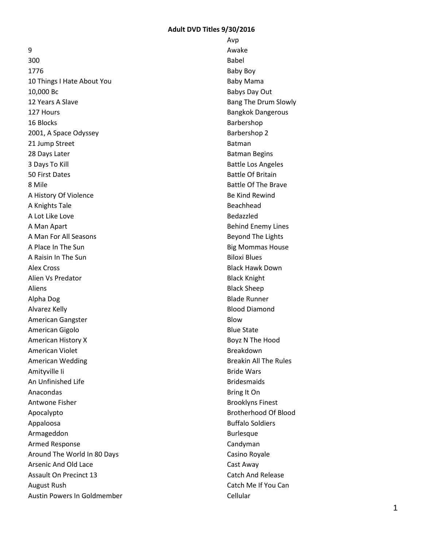9

300 1776 10 Things I Hate About You 10,000 Bc 12 Years A Slave 127 Hours 16 Blocks 2001, A Space Odyssey 21 Jump Street 28 Days Later 3 Days To Kill 50 First Dates 8 Mile A History Of Violence A Knights Tale A Lot Like Love A Man Apart A Man For All Seasons A Place In The Sun A Raisin In The Sun Alex Cross Alien Vs Predator Aliens Alpha Dog Alvarez Kelly American Gangster American Gigolo American History X American Violet American Wedding Amityville Ii An Unfinished Life Anacondas Antwone Fisher Apocalypto Appaloosa Armageddon Armed Response Around The World In 80 Days Arsenic And Old Lace Assault On Precinct 13 August Rush Austin Powers In Goldmember Avp Awake Babel Baby Boy Baby Mama Babys Day Out Bang The Drum Slowly Bangkok Dangerous Barbershop Barbershop 2 Batman Batman Begins Battle Los Angeles Battle Of Britain Battle Of The Brave Be Kind Rewind Beachhead Bedazzled Behind Enemy Lines Beyond The Lights Big Mommas House Biloxi Blues Black Hawk Down Black Knight Black Sheep Blade Runner Blood Diamond Blow Blue State Boyz N The Hood Breakdown Breakin All The Rules Bride Wars Bridesmaids Bring It On Brooklyns Finest Brotherhood Of Blood Buffalo Soldiers Burlesque Candyman Casino Royale Cast Away Catch And Release Catch Me If You Can Cellular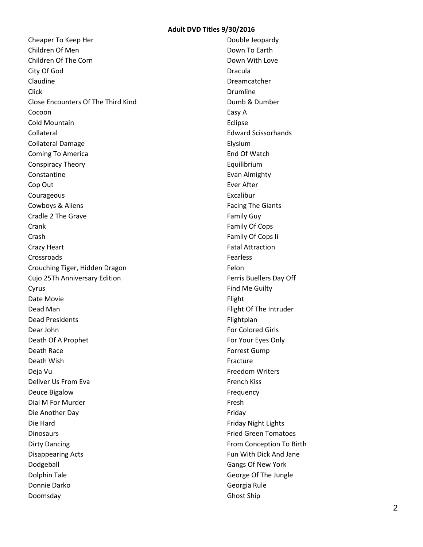Cheaper To Keep Her Children Of Men Children Of The Corn City Of God Claudine Click Close Encounters Of The Third Kind Cocoon Cold Mountain Collateral Collateral Damage Coming To America Conspiracy Theory Constantine Cop Out Courageous Cowboys & Aliens Cradle 2 The Grave **Crank** Crash Crazy Heart Crossroads Crouching Tiger, Hidden Dragon Cujo 25Th Anniversary Edition Cyrus Date Movie Dead Man Dead Presidents Dear John Death Of A Prophet Death Race Death Wish Deja Vu Deliver Us From Eva Deuce Bigalow Dial M For Murder Die Another Day Die Hard Dinosaurs Dirty Dancing Disappearing Acts Dodgeball Dolphin Tale Donnie Darko Doomsday

Double Jeopardy Down To Earth Down With Love Dracula Dreamcatcher Drumline Dumb & Dumber Easy A Eclipse Edward Scissorhands Elysium End Of Watch Equilibrium Evan Almighty Ever After Excalibur Facing The Giants Family Guy Family Of Cops Family Of Cops Ii Fatal Attraction Fearless Felon Ferris Buellers Day Off Find Me Guilty Flight Flight Of The Intruder Flightplan For Colored Girls For Your Eyes Only Forrest Gump Fracture Freedom Writers French Kiss Frequency Fresh Friday Friday Night Lights Fried Green Tomatoes From Conception To Birth Fun With Dick And Jane Gangs Of New York George Of The Jungle Georgia Rule Ghost Ship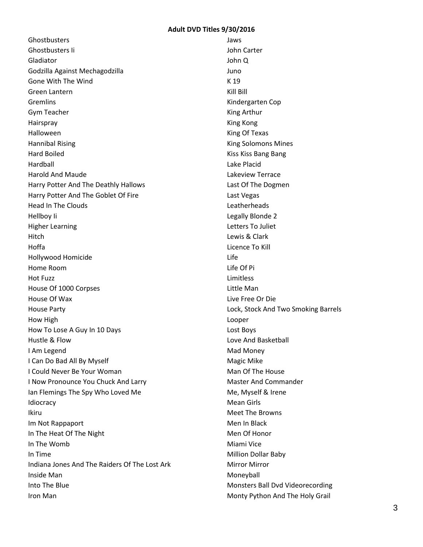**Ghostbusters** Ghostbusters Ii Gladiator Godzilla Against Mechagodzilla Gone With The Wind Green Lantern Gremlins Gym Teacher Hairspray Halloween Hannibal Rising Hard Boiled Hardball Harold And Maude Harry Potter And The Deathly Hallows Harry Potter And The Goblet Of Fire Head In The Clouds Hellboy Ii Higher Learning Hitch Hoffa Hollywood Homicide Home Room Hot Fuzz House Of 1000 Corpses House Of Wax House Party How High How To Lose A Guy In 10 Days Hustle & Flow I Am Legend I Can Do Bad All By Myself I Could Never Be Your Woman I Now Pronounce You Chuck And Larry Ian Flemings The Spy Who Loved Me Idiocracy Ikiru Im Not Rappaport In The Heat Of The Night In The Womb In Time Indiana Jones And The Raiders Of The Lost Ark Inside Man Into The Blue Iron Man

Jaws John Carter John Q Juno K 19 Kill Bill Kindergarten Cop King Arthur King Kong King Of Texas King Solomons Mines Kiss Kiss Bang Bang Lake Placid Lakeview Terrace Last Of The Dogmen Last Vegas Leatherheads Legally Blonde 2 Letters To Juliet Lewis & Clark Licence To Kill Life Life Of Pi Limitless Little Man Live Free Or Die Lock, Stock And Two Smoking Barrels Looper Lost Boys Love And Basketball Mad Money Magic Mike Man Of The House Master And Commander Me, Myself & Irene Mean Girls Meet The Browns Men In Black Men Of Honor Miami Vice Million Dollar Baby Mirror Mirror Moneyball Monsters Ball Dvd Videorecording Monty Python And The Holy Grail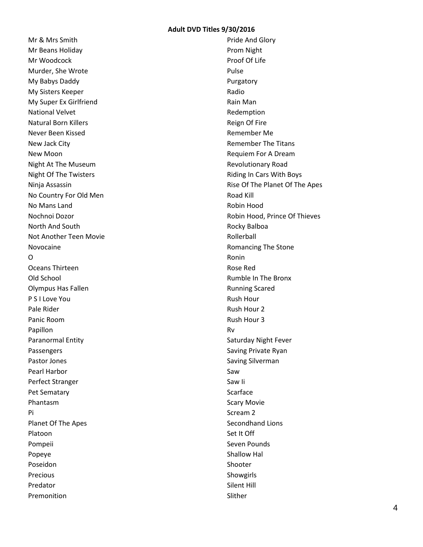Mr & Mrs Smith Mr Beans Holiday Mr Woodcock Murder, She Wrote My Babys Daddy My Sisters Keeper My Super Ex Girlfriend National Velvet Natural Born Killers Never Been Kissed New Jack City New Moon Night At The Museum Night Of The Twisters Ninja Assassin No Country For Old Men No Mans Land Nochnoi Dozor North And South Not Another Teen Movie Novocaine  $\Omega$ Oceans Thirteen Old School Olympus Has Fallen P S I Love You Pale Rider Panic Room Papillon Paranormal Entity Passengers Pastor Jones Pearl Harbor Perfect Stranger Pet Sematary Phantasm Pi Planet Of The Apes Platoon Pompeii Popeye Poseidon Precious Predator Premonition

Pride And Glory Prom Night Proof Of Life Pulse Purgatory Radio Rain Man Redemption Reign Of Fire Remember Me Remember The Titans Requiem For A Dream Revolutionary Road Riding In Cars With Boys Rise Of The Planet Of The Apes Road Kill Robin Hood Robin Hood, Prince Of Thieves Rocky Balboa Rollerball Romancing The Stone Ronin Rose Red Rumble In The Bronx Running Scared Rush Hour Rush Hour 2 Rush Hour 3 Rv Saturday Night Fever Saving Private Ryan Saving Silverman Saw Saw Ii Scarface Scary Movie Scream 2 Secondhand Lions Set It Off Seven Pounds Shallow Hal Shooter Showgirls Silent Hill Slither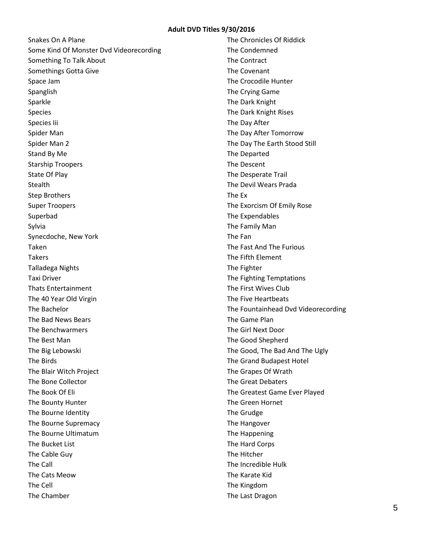Snakes On A Plane Some Kind Of Monster Dvd Videorecording Something To Talk About Somethings Gotta Give Space Jam Spanglish Sparkle Species Species Iii Spider Man Spider Man 2 Stand By Me Starship Troopers State Of Play Stealth Step Brothers Super Troopers Superbad Sylvia Synecdoche, New York Taken Takers Talladega Nights Taxi Driver Thats Entertainment The 40 Year Old Virgin The Bachelor The Bad News Bears The Benchwarmers The Best Man The Big Lebowski The Birds The Blair Witch Project The Bone Collector The Book Of Eli The Bounty Hunter The Bourne Identity The Bourne Supremacy The Bourne Ultimatum The Bucket List The Cable Guy The Call The Cats Meow The Cell The Chamber

The Chronicles Of Riddick The Condemned The Contract The Covenant The Crocodile Hunter The Crying Game The Dark Knight The Dark Knight Rises The Day After The Day After Tomorrow The Day The Earth Stood Still The Departed The Descent The Desperate Trail The Devil Wears Prada The Ex The Exorcism Of Emily Rose The Expendables The Family Man The Fan The Fast And The Furious The Fifth Element The Fighter The Fighting Temptations The First Wives Club The Five Heartbeats The Fountainhead Dvd Videorecording The Game Plan The Girl Next Door The Good Shepherd The Good, The Bad And The Ugly The Grand Budapest Hotel The Grapes Of Wrath The Great Debaters The Greatest Game Ever Played The Green Hornet The Grudge The Hangover The Happening The Hard Corps The Hitcher The Incredible Hulk The Karate Kid The Kingdom The Last Dragon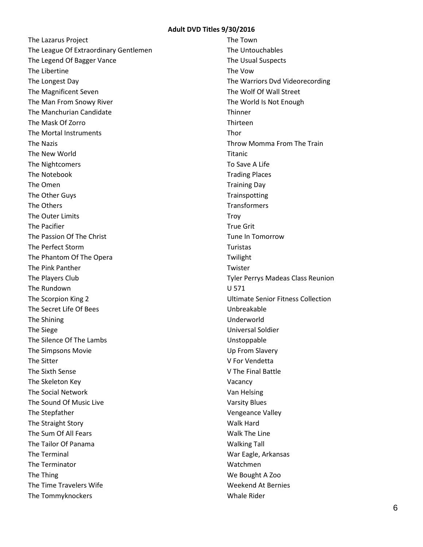The Lazarus Project The League Of Extraordinary Gentlemen The Legend Of Bagger Vance The Libertine The Longest Day The Magnificent Seven The Man From Snowy River The Manchurian Candidate The Mask Of Zorro The Mortal Instruments The Nazis The New World The Nightcomers The Notebook The Omen The Other Guys The Others The Outer Limits The Pacifier The Passion Of The Christ The Perfect Storm The Phantom Of The Opera The Pink Panther The Players Club The Rundown The Scorpion King 2 The Secret Life Of Bees The Shining The Siege The Silence Of The Lambs The Simpsons Movie The Sitter The Sixth Sense The Skeleton Key The Social Network The Sound Of Music Live The Stepfather The Straight Story The Sum Of All Fears The Tailor Of Panama The Terminal The Terminator The Thing The Time Travelers Wife The Tommyknockers

The Town The Untouchables The Usual Suspects The Vow The Warriors Dvd Videorecording The Wolf Of Wall Street The World Is Not Enough **Thinner** Thirteen Thor Throw Momma From The Train Titanic To Save A Life Trading Places Training Day **Trainspotting** Transformers **Troy** True Grit Tune In Tomorrow Turistas Twilight Twister Tyler Perrys Madeas Class Reunion U 571 Ultimate Senior Fitness Collection Unbreakable Underworld Universal Soldier Unstoppable Up From Slavery V For Vendetta V The Final Battle Vacancy Van Helsing Varsity Blues Vengeance Valley Walk Hard Walk The Line Walking Tall War Eagle, Arkansas Watchmen We Bought A Zoo Weekend At Bernies Whale Rider